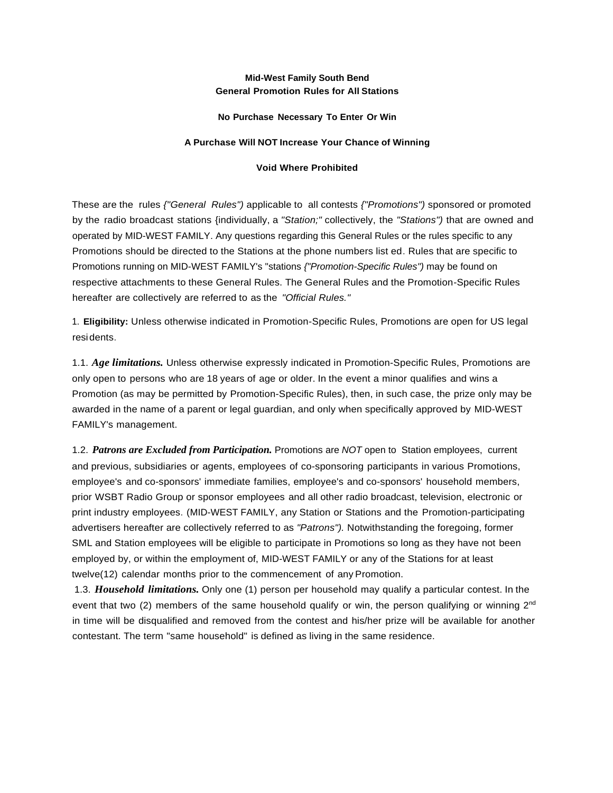### **Mid-West Family South Bend General Promotion Rules for All Stations**

#### **No Purchase Necessary To Enter Or Win**

#### **A Purchase Will NOT Increase Your Chance of Winning**

#### **Void Where Prohibited**

These are the rules *{"General Rules")* applicable to all contests *{"Promotions")* sponsored or promoted by the radio broadcast stations {individually, a *"Station;"* collectively, the *"Stations")* that are owned and operated by MID-WEST FAMILY. Any questions regarding this General Rules or the rules specific to any Promotions should be directed to the Stations at the phone numbers list ed. Rules that are specific to Promotions running on MID-WEST FAMILY's "stations *{"Promotion-Specific Rules")* may be found on respective attachments to these General Rules. The General Rules and the Promotion-Specific Rules hereafter are collectively are referred to as the *"Official Rules."*

1. **Eligibility:** Unless otherwise indicated in Promotion-Specific Rules, Promotions are open for US legal residents.

1.1. *Age limitations.* Unless otherwise expressly indicated in Promotion-Specific Rules, Promotions are only open to persons who are 18 years of age or older. In the event a minor qualifies and wins a Promotion (as may be permitted by Promotion-Specific Rules), then, in such case, the prize only may be awarded in the name of a parent or legal guardian, and only when specifically approved by MID-WEST FAMILY's management.

1.2. *Patrons are Excluded from Participation.* Promotions are *NOT* open to Station employees, current and previous, subsidiaries or agents, employees of co-sponsoring participants in various Promotions, employee's and co-sponsors' immediate families, employee's and co-sponsors' household members, prior WSBT Radio Group or sponsor employees and all other radio broadcast, television, electronic or print industry employees. (MID-WEST FAMILY, any Station or Stations and the Promotion-participating advertisers hereafter are collectively referred to as *"Patrons").* Notwithstanding the foregoing, former SML and Station employees will be eligible to participate in Promotions so long as they have not been employed by, or within the employment of, MID-WEST FAMILY or any of the Stations for at least twelve(12) calendar months prior to the commencement of any Promotion.

1.3. *Household limitations.* Only one (1) person per household may qualify a particular contest. In the event that two (2) members of the same household qualify or win, the person qualifying or winning  $2<sup>nd</sup>$ in time will be disqualified and removed from the contest and his/her prize will be available for another contestant. The term "same household" is defined as living in the same residence.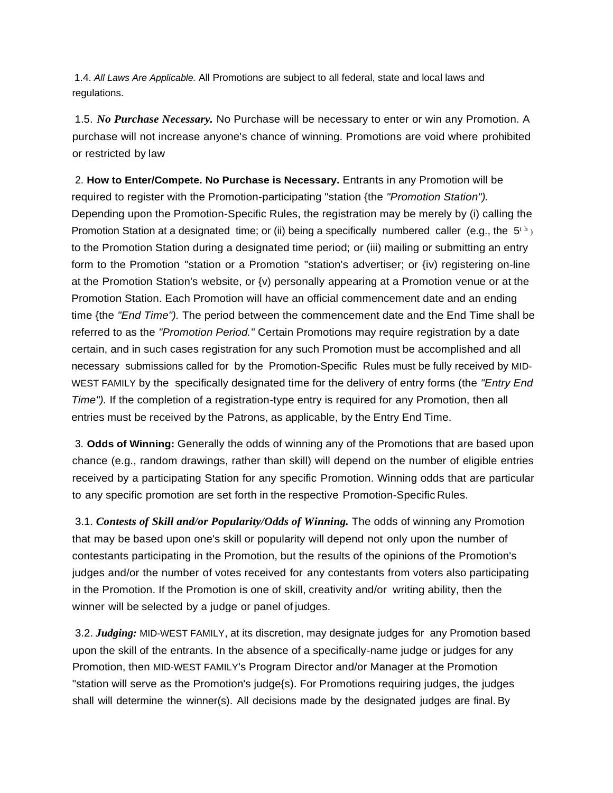1.4. *All Laws Are Applicable.* All Promotions are subject to all federal, state and local laws and regulations.

1.5. *No Purchase Necessary.* No Purchase will be necessary to enter or win any Promotion. A purchase will not increase anyone's chance of winning. Promotions are void where prohibited or restricted by law

2. **How to Enter/Compete. No Purchase is Necessary.** Entrants in any Promotion will be required to register with the Promotion-participating "station {the *"Promotion Station").* Depending upon the Promotion-Specific Rules, the registration may be merely by (i) calling the Promotion Station at a designated time; or (ii) being a specifically numbered caller (e.g., the  $5<sup>th</sup>$ ) to the Promotion Station during a designated time period; or (iii) mailing or submitting an entry form to the Promotion "station or a Promotion "station's advertiser; or {iv) registering on-line at the Promotion Station's website, or {v) personally appearing at a Promotion venue or at the Promotion Station. Each Promotion will have an official commencement date and an ending time {the *"End Time").* The period between the commencement date and the End Time shall be referred to as the *"Promotion Period."* Certain Promotions may require registration by a date certain, and in such cases registration for any such Promotion must be accomplished and all necessary submissions called for by the Promotion-Specific Rules must be fully received by MID-WEST FAMILY by the specifically designated time for the delivery of entry forms (the *"Entry End Time").* If the completion of a registration-type entry is required for any Promotion, then all entries must be received by the Patrons, as applicable, by the Entry End Time.

3. **Odds of Winning:** Generally the odds of winning any of the Promotions that are based upon chance (e.g., random drawings, rather than skill) will depend on the number of eligible entries received by a participating Station for any specific Promotion. Winning odds that are particular to any specific promotion are set forth in the respective Promotion-Specific Rules.

3.1. *Contests of Skill and/or Popularity/Odds of Winning.* The odds of winning any Promotion that may be based upon one's skill or popularity will depend not only upon the number of contestants participating in the Promotion, but the results of the opinions of the Promotion's judges and/or the number of votes received for any contestants from voters also participating in the Promotion. If the Promotion is one of skill, creativity and/or writing ability, then the winner will be selected by a judge or panel of judges.

3.2. *Judging:* MID-WEST FAMILY, at its discretion, may designate judges for any Promotion based upon the skill of the entrants. In the absence of a specifically-name judge or judges for any Promotion, then MID-WEST FAMILY's Program Director and/or Manager at the Promotion "station will serve as the Promotion's judge{s). For Promotions requiring judges, the judges shall will determine the winner(s). All decisions made by the designated judges are final. By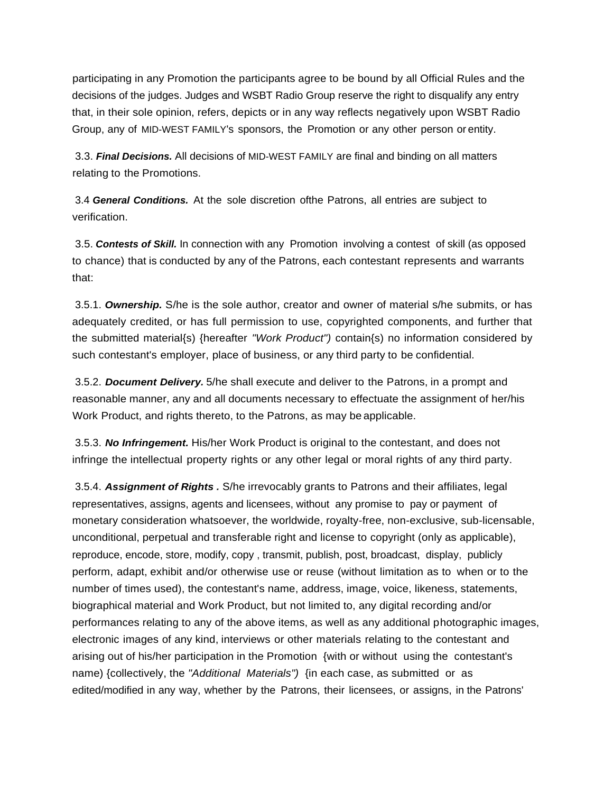participating in any Promotion the participants agree to be bound by all Official Rules and the decisions of the judges. Judges and WSBT Radio Group reserve the right to disqualify any entry that, in their sole opinion, refers, depicts or in any way reflects negatively upon WSBT Radio Group, any of MID-WEST FAMILY's sponsors, the Promotion or any other person or entity.

3.3. *Final Decisions.* All decisions of MID-WEST FAMILY are final and binding on all matters relating to the Promotions.

3.4 *General Conditions.* At the sole discretion ofthe Patrons, all entries are subject to verification.

3.5. *Contests of Skill.* In connection with any Promotion involving a contest of skill (as opposed to chance) that is conducted by any of the Patrons, each contestant represents and warrants that:

3.5.1. *Ownership.* S/he is the sole author, creator and owner of material s/he submits, or has adequately credited, or has full permission to use, copyrighted components, and further that the submitted material{s) {hereafter *"Work Product")* contain{s) no information considered by such contestant's employer, place of business, or any third party to be confidential.

3.5.2. *Document Delivery.* 5/he shall execute and deliver to the Patrons, in a prompt and reasonable manner, any and all documents necessary to effectuate the assignment of her/his Work Product, and rights thereto, to the Patrons, as may be applicable.

3.5.3. *No Infringement.* His/her Work Product is original to the contestant, and does not infringe the intellectual property rights or any other legal or moral rights of any third party.

3.5.4. *Assignment of Rights .* S/he irrevocably grants to Patrons and their affiliates, legal representatives, assigns, agents and licensees, without any promise to pay or payment of monetary consideration whatsoever, the worldwide, royalty-free, non-exclusive, sub-licensable, unconditional, perpetual and transferable right and license to copyright (only as applicable), reproduce, encode, store, modify, copy , transmit, publish, post, broadcast, display, publicly perform, adapt, exhibit and/or otherwise use or reuse (without limitation as to when or to the number of times used), the contestant's name, address, image, voice, likeness, statements, biographical material and Work Product, but not limited to, any digital recording and/or performances relating to any of the above items, as well as any additional photographic images, electronic images of any kind, interviews or other materials relating to the contestant and arising out of his/her participation in the Promotion {with or without using the contestant's name) {collectively, the *"Additional Materials")* {in each case, as submitted or as edited/modified in any way, whether by the Patrons, their licensees, or assigns, in the Patrons'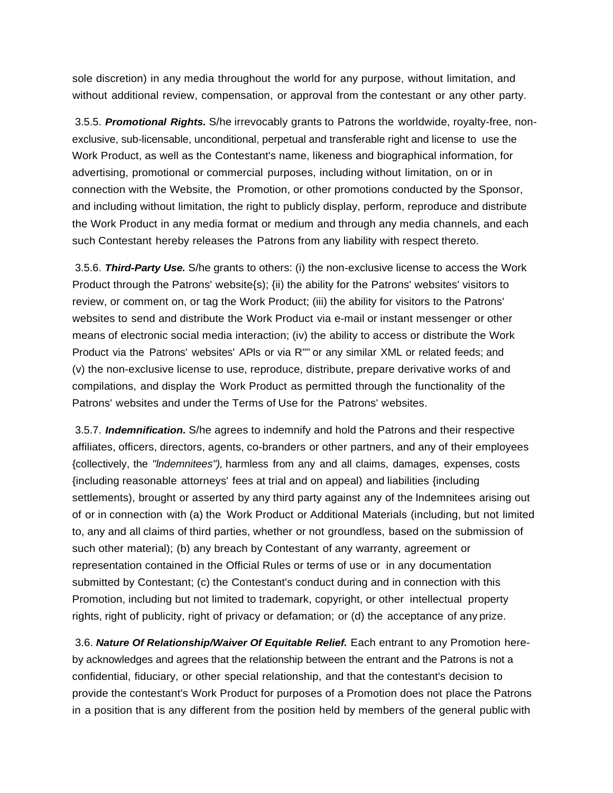sole discretion) in any media throughout the world for any purpose, without limitation, and without additional review, compensation, or approval from the contestant or any other party.

3.5.5. *Promotional Rights.* S/he irrevocably grants to Patrons the worldwide, royalty-free, nonexclusive, sub-licensable, unconditional, perpetual and transferable right and license to use the Work Product, as well as the Contestant's name, likeness and biographical information, for advertising, promotional or commercial purposes, including without limitation, on or in connection with the Website, the Promotion, or other promotions conducted by the Sponsor, and including without limitation, the right to publicly display, perform, reproduce and distribute the Work Product in any media format or medium and through any media channels, and each such Contestant hereby releases the Patrons from any liability with respect thereto.

3.5.6. *Third-Party Use.* S/he grants to others: (i) the non-exclusive license to access the Work Product through the Patrons' website{s); {ii) the ability for the Patrons' websites' visitors to review, or comment on, or tag the Work Product; (iii) the ability for visitors to the Patrons' websites to send and distribute the Work Product via e-mail or instant messenger or other means of electronic social media interaction; (iv) the ability to access or distribute the Work Product via the Patrons' websites' APls or via R'"' or any similar XML or related feeds; and (v) the non-exclusive license to use, reproduce, distribute, prepare derivative works of and compilations, and display the Work Product as permitted through the functionality of the Patrons' websites and under the Terms of Use for the Patrons' websites.

3.5.7. *Indemnification.* S/he agrees to indemnify and hold the Patrons and their respective affiliates, officers, directors, agents, co-branders or other partners, and any of their employees {collectively, the *"lndemnitees"),* harmless from any and all claims, damages, expenses, costs {including reasonable attorneys' fees at trial and on appeal) and liabilities {including settlements), brought or asserted by any third party against any of the lndemnitees arising out of or in connection with (a) the Work Product or Additional Materials (including, but not limited to, any and all claims of third parties, whether or not groundless, based on the submission of such other material); (b) any breach by Contestant of any warranty, agreement or representation contained in the Official Rules or terms of use or in any documentation submitted by Contestant; (c) the Contestant's conduct during and in connection with this Promotion, including but not limited to trademark, copyright, or other intellectual property rights, right of publicity, right of privacy or defamation; or (d) the acceptance of any prize.

3.6. *Nature Of Relationship/Waiver Of Equitable Relief.* Each entrant to any Promotion hereby acknowledges and agrees that the relationship between the entrant and the Patrons is not a confidential, fiduciary, or other special relationship, and that the contestant's decision to provide the contestant's Work Product for purposes of a Promotion does not place the Patrons in a position that is any different from the position held by members of the general public with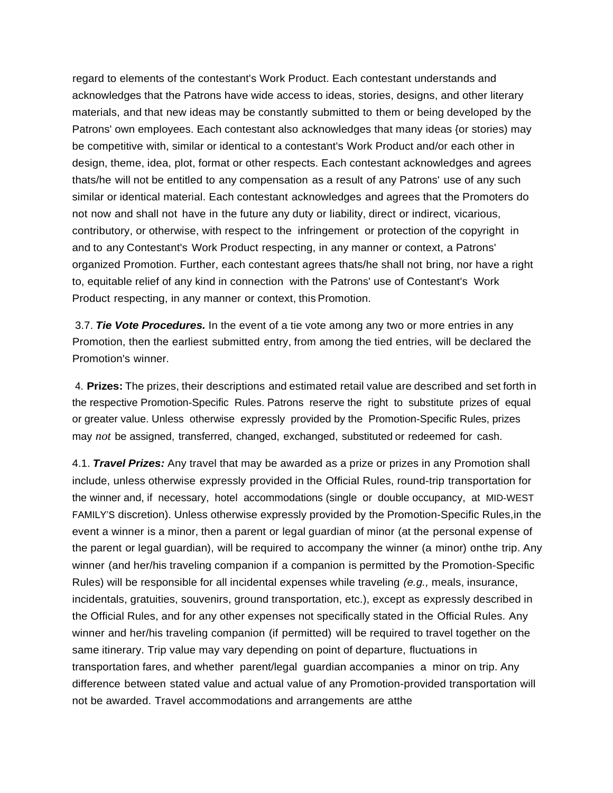regard to elements of the contestant's Work Product. Each contestant understands and acknowledges that the Patrons have wide access to ideas, stories, designs, and other literary materials, and that new ideas may be constantly submitted to them or being developed by the Patrons' own employees. Each contestant also acknowledges that many ideas {or stories) may be competitive with, similar or identical to a contestant's Work Product and/or each other in design, theme, idea, plot, format or other respects. Each contestant acknowledges and agrees thats/he will not be entitled to any compensation as a result of any Patrons' use of any such similar or identical material. Each contestant acknowledges and agrees that the Promoters do not now and shall not have in the future any duty or liability, direct or indirect, vicarious, contributory, or otherwise, with respect to the infringement or protection of the copyright in and to any Contestant's Work Product respecting, in any manner or context, a Patrons' organized Promotion. Further, each contestant agrees thats/he shall not bring, nor have a right to, equitable relief of any kind in connection with the Patrons' use of Contestant's Work Product respecting, in any manner or context, this Promotion.

3.7. *Tie Vote Procedures.* In the event of a tie vote among any two or more entries in any Promotion, then the earliest submitted entry, from among the tied entries, will be declared the Promotion's winner.

4. **Prizes:** The prizes, their descriptions and estimated retail value are described and set forth in the respective Promotion-Specific Rules. Patrons reserve the right to substitute prizes of equal or greater value. Unless otherwise expressly provided by the Promotion-Specific Rules, prizes may *not* be assigned, transferred, changed, exchanged, substituted or redeemed for cash.

4.1. *Travel Prizes:* Any travel that may be awarded as a prize or prizes in any Promotion shall include, unless otherwise expressly provided in the Official Rules, round-trip transportation for the winner and, if necessary, hotel accommodations (single or double occupancy, at MID-WEST FAMILY'S discretion). Unless otherwise expressly provided by the Promotion-Specific Rules,in the event a winner is a minor, then a parent or legal guardian of minor (at the personal expense of the parent or legal guardian), will be required to accompany the winner (a minor) onthe trip. Any winner (and her/his traveling companion if a companion is permitted by the Promotion-Specific Rules) will be responsible for all incidental expenses while traveling *(e.g.,* meals, insurance, incidentals, gratuities, souvenirs, ground transportation, etc.), except as expressly described in the Official Rules, and for any other expenses not specifically stated in the Official Rules. Any winner and her/his traveling companion (if permitted) will be required to travel together on the same itinerary. Trip value may vary depending on point of departure, fluctuations in transportation fares, and whether parent/legal guardian accompanies a minor on trip. Any difference between stated value and actual value of any Promotion-provided transportation will not be awarded. Travel accommodations and arrangements are atthe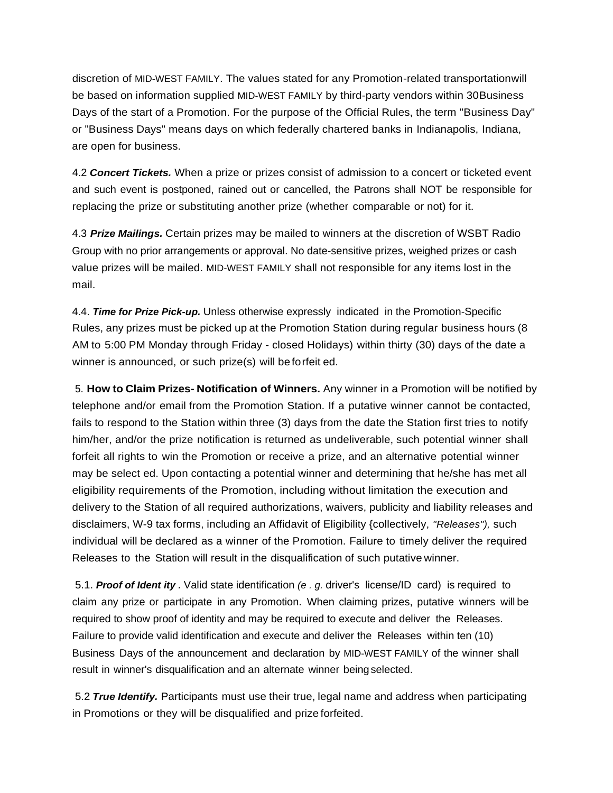discretion of MID-WEST FAMILY. The values stated for any Promotion-related transportationwill be based on information supplied MID-WEST FAMILY by third-party vendors within 30Business Days of the start of a Promotion. For the purpose of the Official Rules, the term "Business Day" or "Business Days" means days on which federally chartered banks in Indianapolis, Indiana, are open for business.

4.2 *Concert Tickets.* When a prize or prizes consist of admission to a concert or ticketed event and such event is postponed, rained out or cancelled, the Patrons shall NOT be responsible for replacing the prize or substituting another prize (whether comparable or not) for it.

4.3 *Prize Mailings.* Certain prizes may be mailed to winners at the discretion of WSBT Radio Group with no prior arrangements or approval. No date-sensitive prizes, weighed prizes or cash value prizes will be mailed. MID-WEST FAMILY shall not responsible for any items lost in the mail.

4.4. *Time for Prize Pick-up.* Unless otherwise expressly indicated in the Promotion-Specific Rules, any prizes must be picked up at the Promotion Station during regular business hours (8 AM to 5:00 PM Monday through Friday - closed Holidays) within thirty (30) days of the date a winner is announced, or such prize(s) will be forfeit ed.

5. **How to Claim Prizes- Notification of Winners.** Any winner in a Promotion will be notified by telephone and/or email from the Promotion Station. If a putative winner cannot be contacted, fails to respond to the Station within three (3) days from the date the Station first tries to notify him/her, and/or the prize notification is returned as undeliverable, such potential winner shall forfeit all rights to win the Promotion or receive a prize, and an alternative potential winner may be select ed. Upon contacting a potential winner and determining that he/she has met all eligibility requirements of the Promotion, including without limitation the execution and delivery to the Station of all required authorizations, waivers, publicity and liability releases and disclaimers, W-9 tax forms, including an Affidavit of Eligibility {collectively, *"Releases"),* such individual will be declared as a winner of the Promotion. Failure to timely deliver the required Releases to the Station will result in the disqualification of such putative winner.

5.1. *Proof of Ident ity .* Valid state identification *(e . g.* driver's license/ID card) is required to claim any prize or participate in any Promotion. When claiming prizes, putative winners will be required to show proof of identity and may be required to execute and deliver the Releases. Failure to provide valid identification and execute and deliver the Releases within ten (10) Business Days of the announcement and declaration by MID-WEST FAMILY of the winner shall result in winner's disqualification and an alternate winner being selected.

5.2 *True Identify.* Participants must use their true, legal name and address when participating in Promotions or they will be disqualified and prize forfeited.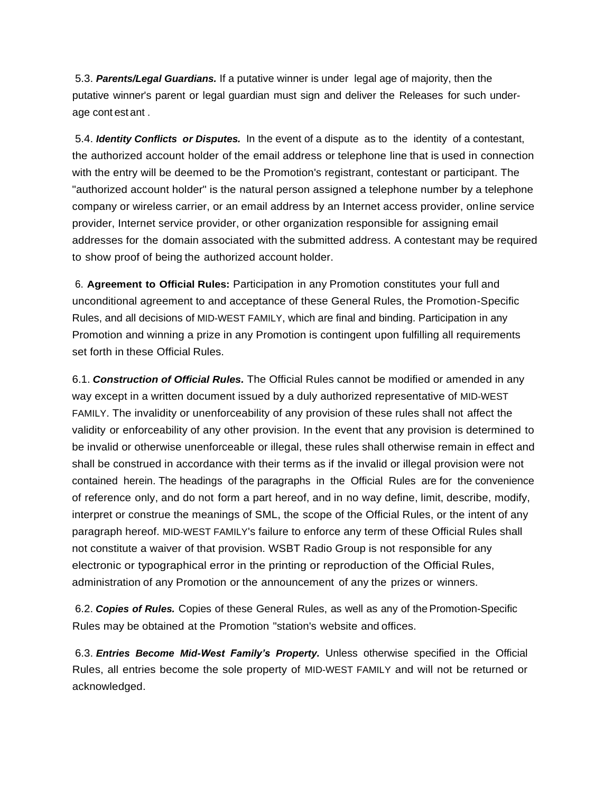5.3. *Parents/Legal Guardians.* If a putative winner is under legal age of majority, then the putative winner's parent or legal guardian must sign and deliver the Releases for such underage cont est ant .

5.4. *Identity Conflicts or Disputes.* In the event of a dispute as to the identity of a contestant, the authorized account holder of the email address or telephone line that is used in connection with the entry will be deemed to be the Promotion's registrant, contestant or participant. The "authorized account holder" is the natural person assigned a telephone number by a telephone company or wireless carrier, or an email address by an Internet access provider, online service provider, Internet service provider, or other organization responsible for assigning email addresses for the domain associated with the submitted address. A contestant may be required to show proof of being the authorized account holder.

6. **Agreement to Official Rules:** Participation in any Promotion constitutes your full and unconditional agreement to and acceptance of these General Rules, the Promotion-Specific Rules, and all decisions of MID-WEST FAMILY, which are final and binding. Participation in any Promotion and winning a prize in any Promotion is contingent upon fulfilling all requirements set forth in these Official Rules.

6.1. *Construction of Official Rules.* The Official Rules cannot be modified or amended in any way except in a written document issued by a duly authorized representative of MID-WEST FAMILY. The invalidity or unenforceability of any provision of these rules shall not affect the validity or enforceability of any other provision. In the event that any provision is determined to be invalid or otherwise unenforceable or illegal, these rules shall otherwise remain in effect and shall be construed in accordance with their terms as if the invalid or illegal provision were not contained herein. The headings of the paragraphs in the Official Rules are for the convenience of reference only, and do not form a part hereof, and in no way define, limit, describe, modify, interpret or construe the meanings of SML, the scope of the Official Rules, or the intent of any paragraph hereof. MID-WEST FAMILY's failure to enforce any term of these Official Rules shall not constitute a waiver of that provision. WSBT Radio Group is not responsible for any electronic or typographical error in the printing or reproduction of the Official Rules, administration of any Promotion or the announcement of any the prizes or winners.

6.2. *Copies of Rules.* Copies of these General Rules, as well as any of thePromotion-Specific Rules may be obtained at the Promotion "station's website and offices.

6.3. *Entries Become Mid-West Family's Property.* Unless otherwise specified in the Official Rules, all entries become the sole property of MID-WEST FAMILY and will not be returned or acknowledged.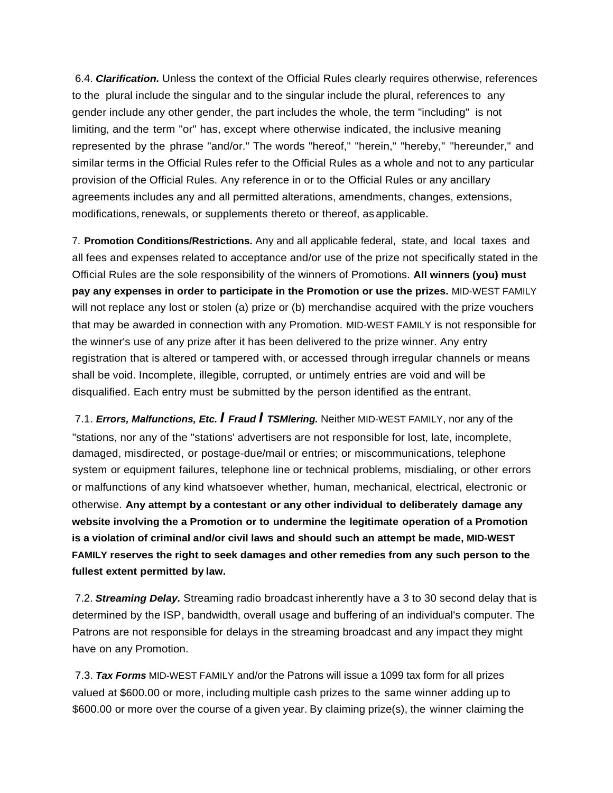6.4. *Clarification.* Unless the context of the Official Rules clearly requires otherwise, references to the plural include the singular and to the singular include the plural, references to any gender include any other gender, the part includes the whole, the term "including" is not limiting, and the term "or" has, except where otherwise indicated, the inclusive meaning represented by the phrase "and/or." The words "hereof," "herein," "hereby," "hereunder," and similar terms in the Official Rules refer to the Official Rules as a whole and not to any particular provision of the Official Rules. Any reference in or to the Official Rules or any ancillary agreements includes any and all permitted alterations, amendments, changes, extensions, modifications, renewals, or supplements thereto or thereof, as applicable.

7. **Promotion Conditions/Restrictions.** Any and all applicable federal, state, and local taxes and all fees and expenses related to acceptance and/or use of the prize not specifically stated in the Official Rules are the sole responsibility of the winners of Promotions. **All winners (you) must pay any expenses in order to participate in the Promotion or use the prizes.** MID-WEST FAMILY will not replace any lost or stolen (a) prize or (b) merchandise acquired with the prize vouchers that may be awarded in connection with any Promotion. MID-WEST FAMILY is not responsible for the winner's use of any prize after it has been delivered to the prize winner. Any entry registration that is altered or tampered with, or accessed through irregular channels or means shall be void. Incomplete, illegible, corrupted, or untimely entries are void and will be disqualified. Each entry must be submitted by the person identified as the entrant.

7.1. *Errors, Malfunctions, Etc. I Fraud I TSMlering.* Neither MID-WEST FAMILY, nor any of the "stations, nor any of the "stations' advertisers are not responsible for lost, late, incomplete, damaged, misdirected, or postage-due/mail or entries; or miscommunications, telephone system or equipment failures, telephone line or technical problems, misdialing, or other errors or malfunctions of any kind whatsoever whether, human, mechanical, electrical, electronic or otherwise. **Any attempt by a contestant or any other individual to deliberately damage any website involving the a Promotion or to undermine the legitimate operation of a Promotion is a violation of criminal and/or civil laws and should such an attempt be made, MID-WEST FAMILY reserves the right to seek damages and other remedies from any such person to the fullest extent permitted by law.**

7.2. *Streaming Delay.* Streaming radio broadcast inherently have a 3 to 30 second delay that is determined by the ISP, bandwidth, overall usage and buffering of an individual's computer. The Patrons are not responsible for delays in the streaming broadcast and any impact they might have on any Promotion.

7.3. *Tax Forms* MID-WEST FAMILY and/or the Patrons will issue a 1099 tax form for all prizes valued at \$600.00 or more, including multiple cash prizes to the same winner adding up to \$600.00 or more over the course of a given year. By claiming prize(s), the winner claiming the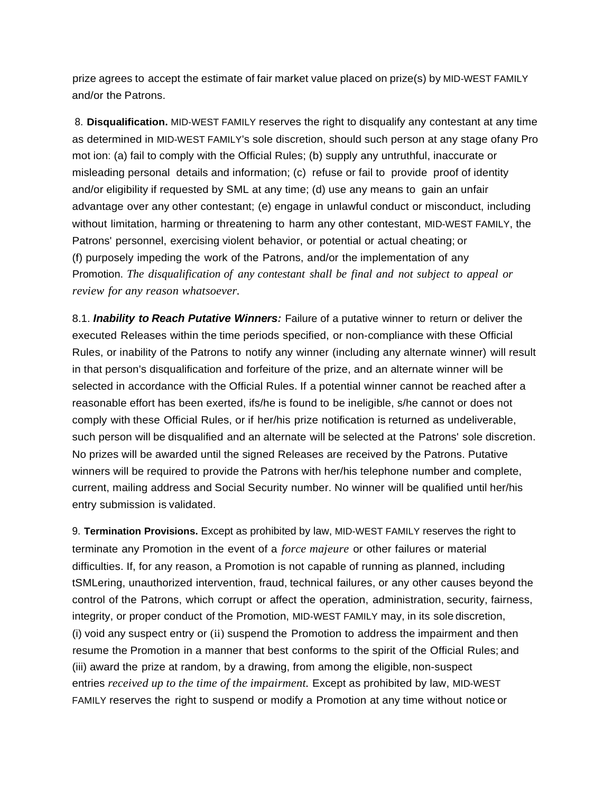prize agrees to accept the estimate of fair market value placed on prize(s) by MID-WEST FAMILY and/or the Patrons.

8. **Disqualification.** MID-WEST FAMILY reserves the right to disqualify any contestant at any time as determined in MID-WEST FAMILY's sole discretion, should such person at any stage ofany Pro mot ion: (a) fail to comply with the Official Rules; (b) supply any untruthful, inaccurate or misleading personal details and information; (c) refuse or fail to provide proof of identity and/or eligibility if requested by SML at any time; (d) use any means to gain an unfair advantage over any other contestant; (e) engage in unlawful conduct or misconduct, including without limitation, harming or threatening to harm any other contestant, MID-WEST FAMILY, the Patrons' personnel, exercising violent behavior, or potential or actual cheating; or (f) purposely impeding the work of the Patrons, and/or the implementation of any Promotion. *The disqualification of any contestant shall be final and not subject to appeal or review for any reason whatsoever.*

8.1. *Inability to Reach Putative Winners:* Failure of a putative winner to return or deliver the executed Releases within the time periods specified, or non-compliance with these Official Rules, or inability of the Patrons to notify any winner (including any alternate winner) will result in that person's disqualification and forfeiture of the prize, and an alternate winner will be selected in accordance with the Official Rules. If a potential winner cannot be reached after a reasonable effort has been exerted, ifs/he is found to be ineligible, s/he cannot or does not comply with these Official Rules, or if her/his prize notification is returned as undeliverable, such person will be disqualified and an alternate will be selected at the Patrons' sole discretion. No prizes will be awarded until the signed Releases are received by the Patrons. Putative winners will be required to provide the Patrons with her/his telephone number and complete, current, mailing address and Social Security number. No winner will be qualified until her/his entry submission is validated.

9. **Termination Provisions.** Except as prohibited by law, MID-WEST FAMILY reserves the right to terminate any Promotion in the event of a *force majeure* or other failures or material difficulties. If, for any reason, a Promotion is not capable of running as planned, including tSMLering, unauthorized intervention, fraud, technical failures, or any other causes beyond the control of the Patrons, which corrupt or affect the operation, administration, security, fairness, integrity, or proper conduct of the Promotion, MID-WEST FAMILY may, in its sole discretion, (i) void any suspect entry or (ii) suspend the Promotion to address the impairment and then resume the Promotion in a manner that best conforms to the spirit of the Official Rules; and (iii) award the prize at random, by a drawing, from among the eligible, non-suspect entries *received up to the time of the impairment.* Except as prohibited by law, MID-WEST FAMILY reserves the right to suspend or modify a Promotion at any time without notice or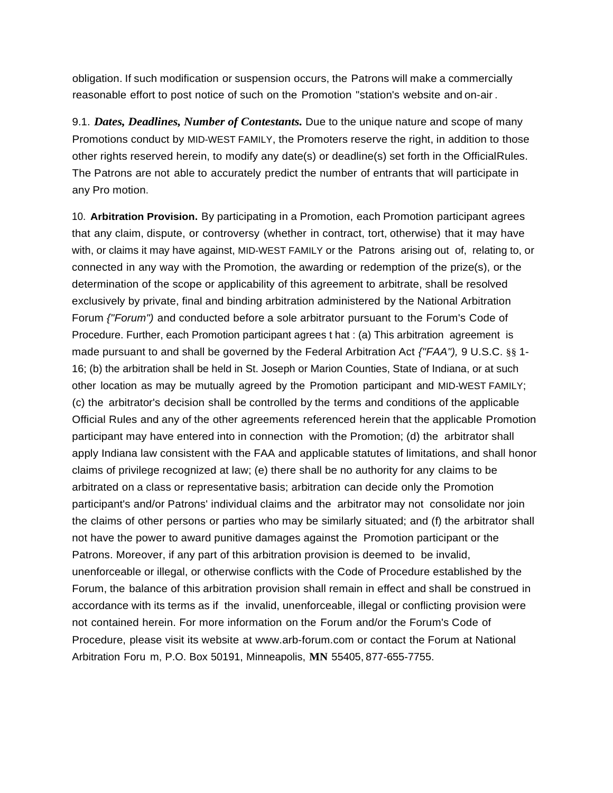obligation. If such modification or suspension occurs, the Patrons will make a commercially reasonable effort to post notice of such on the Promotion "station's website and on-air .

9.1. *Dates, Deadlines, Number of Contestants.* Due to the unique nature and scope of many Promotions conduct by MID-WEST FAMILY, the Promoters reserve the right, in addition to those other rights reserved herein, to modify any date(s) or deadline(s) set forth in the OfficialRules. The Patrons are not able to accurately predict the number of entrants that will participate in any Pro motion.

10. **Arbitration Provision.** By participating in a Promotion, each Promotion participant agrees that any claim, dispute, or controversy (whether in contract, tort, otherwise) that it may have with, or claims it may have against, MID-WEST FAMILY or the Patrons arising out of, relating to, or connected in any way with the Promotion, the awarding or redemption of the prize(s), or the determination of the scope or applicability of this agreement to arbitrate, shall be resolved exclusively by private, final and binding arbitration administered by the National Arbitration Forum *{"Forum")* and conducted before a sole arbitrator pursuant to the Forum's Code of Procedure. Further, each Promotion participant agrees t hat : (a) This arbitration agreement is made pursuant to and shall be governed by the Federal Arbitration Act *{"FAA"),* 9 U.S.C. §§ 1- 16; (b) the arbitration shall be held in St. Joseph or Marion Counties, State of Indiana, or at such other location as may be mutually agreed by the Promotion participant and MID-WEST FAMILY; (c) the arbitrator's decision shall be controlled by the terms and conditions of the applicable Official Rules and any of the other agreements referenced herein that the applicable Promotion participant may have entered into in connection with the Promotion; (d) the arbitrator shall apply Indiana law consistent with the FAA and applicable statutes of limitations, and shall honor claims of privilege recognized at law; (e) there shall be no authority for any claims to be arbitrated on a class or representative basis; arbitration can decide only the Promotion participant's and/or Patrons' individual claims and the arbitrator may not consolidate nor join the claims of other persons or parties who may be similarly situated; and (f) the arbitrator shall not have the power to award punitive damages against the Promotion participant or the Patrons. Moreover, if any part of this arbitration provision is deemed to be invalid, unenforceable or illegal, or otherwise conflicts with the Code of Procedure established by the Forum, the balance of this arbitration provision shall remain in effect and shall be construed in accordance with its terms as if the invalid, unenforceable, illegal or conflicting provision were not contained herein. For more information on the Forum and/or the Forum's Code of Procedure, please visit its website at [www.arb-forum.com](http://www.arb-forum.com/) or contact the Forum at National Arbitration Foru m, P.O. Box 50191, Minneapolis, **MN** 55405, 877-655-7755.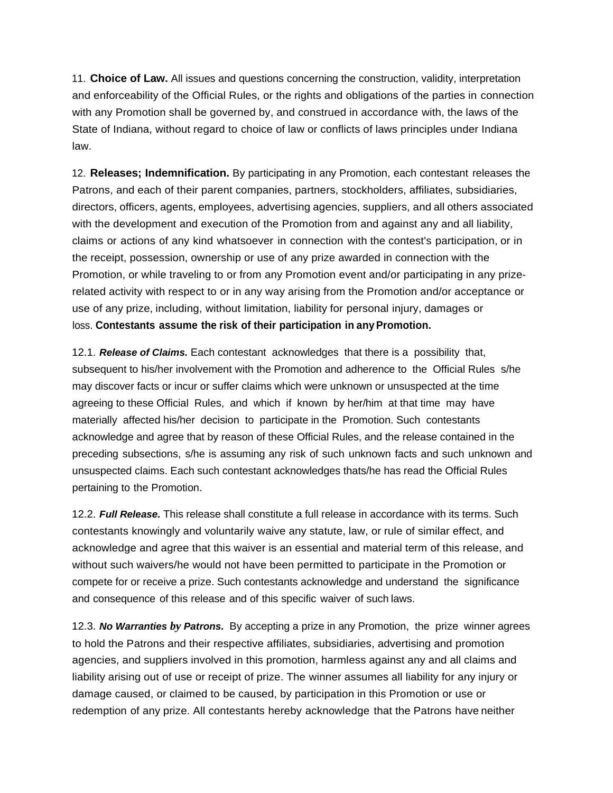11. **Choice of Law.** All issues and questions concerning the construction, validity, interpretation and enforceability of the Official Rules, or the rights and obligations of the parties in connection with any Promotion shall be governed by, and construed in accordance with, the laws of the State of Indiana, without regard to choice of law or conflicts of laws principles under Indiana law.

12. **Releases; Indemnification.** By participating in any Promotion, each contestant releases the Patrons, and each of their parent companies, partners, stockholders, affiliates, subsidiaries, directors, officers, agents, employees, advertising agencies, suppliers, and all others associated with the development and execution of the Promotion from and against any and all liability, claims or actions of any kind whatsoever in connection with the contest's participation, or in the receipt, possession, ownership or use of any prize awarded in connection with the Promotion, or while traveling to or from any Promotion event and/or participating in any prizerelated activity with respect to or in any way arising from the Promotion and/or acceptance or use of any prize, including, without limitation, liability for personal injury, damages or loss. **Contestants assume the risk of their participation in any Promotion.**

12.1. *Release of Claims.* Each contestant acknowledges that there is a possibility that, subsequent to his/her involvement with the Promotion and adherence to the Official Rules s/he may discover facts or incur or suffer claims which were unknown or unsuspected at the time agreeing to these Official Rules, and which if known by her/him at that time may have materially affected his/her decision to participate in the Promotion. Such contestants acknowledge and agree that by reason of these Official Rules, and the release contained in the preceding subsections, s/he is assuming any risk of such unknown facts and such unknown and unsuspected claims. Each such contestant acknowledges thats/he has read the Official Rules pertaining to the Promotion.

12.2. *Full Release.* This release shall constitute a full release in accordance with its terms. Such contestants knowingly and voluntarily waive any statute, law, or rule of similar effect, and acknowledge and agree that this waiver is an essential and material term of this release, and without such waivers/he would not have been permitted to participate in the Promotion or compete for or receive a prize. Such contestants acknowledge and understand the significance and consequence of this release and of this specific waiver of such laws.

12.3. *No Warranties by Patrons.* By accepting a prize in any Promotion, the prize winner agrees to hold the Patrons and their respective affiliates, subsidiaries, advertising and promotion agencies, and suppliers involved in this promotion, harmless against any and all claims and liability arising out of use or receipt of prize. The winner assumes all liability for any injury or damage caused, or claimed to be caused, by participation in this Promotion or use or redemption of any prize. All contestants hereby acknowledge that the Patrons have neither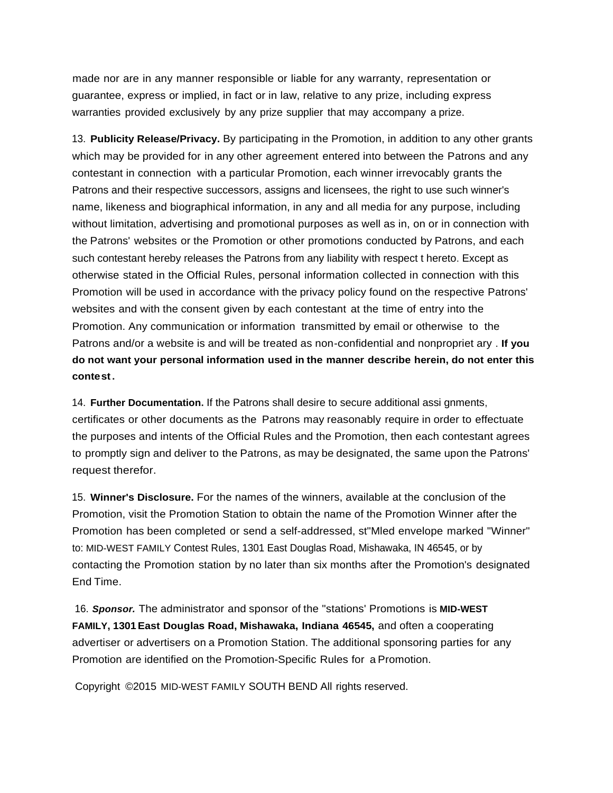made nor are in any manner responsible or liable for any warranty, representation or guarantee, express or implied, in fact or in law, relative to any prize, including express warranties provided exclusively by any prize supplier that may accompany a prize.

13. **Publicity Release/Privacy.** By participating in the Promotion, in addition to any other grants which may be provided for in any other agreement entered into between the Patrons and any contestant in connection with a particular Promotion, each winner irrevocably grants the Patrons and their respective successors, assigns and licensees, the right to use such winner's name, likeness and biographical information, in any and all media for any purpose, including without limitation, advertising and promotional purposes as well as in, on or in connection with the Patrons' websites or the Promotion or other promotions conducted by Patrons, and each such contestant hereby releases the Patrons from any liability with respect t hereto. Except as otherwise stated in the Official Rules, personal information collected in connection with this Promotion will be used in accordance with the privacy policy found on the respective Patrons' websites and with the consent given by each contestant at the time of entry into the Promotion. Any communication or information transmitted by email or otherwise to the Patrons and/or a website is and will be treated as non-confidential and nonpropriet ary . **If you do not want your personal information used in the manner describe herein, do not enter this contest.**

14. **Further Documentation.** If the Patrons shall desire to secure additional assi gnments, certificates or other documents as the Patrons may reasonably require in order to effectuate the purposes and intents of the Official Rules and the Promotion, then each contestant agrees to promptly sign and deliver to the Patrons, as may be designated, the same upon the Patrons' request therefor.

15. **Winner's Disclosure.** For the names of the winners, available at the conclusion of the Promotion, visit the Promotion Station to obtain the name of the Promotion Winner after the Promotion has been completed or send a self-addressed, st"Mled envelope marked "Winner" to: MID-WEST FAMILY Contest Rules, 1301 East Douglas Road, Mishawaka, IN 46545, or by contacting the Promotion station by no later than six months after the Promotion's designated End Time.

16. *Sponsor.* The administrator and sponsor of the "stations' Promotions is **MID-WEST FAMILY, 1301East Douglas Road, Mishawaka, Indiana 46545,** and often a cooperating advertiser or advertisers on a Promotion Station. The additional sponsoring parties for any Promotion are identified on the Promotion-Specific Rules for a Promotion.

Copyright ©2015 MID-WEST FAMILY SOUTH BEND All rights reserved.